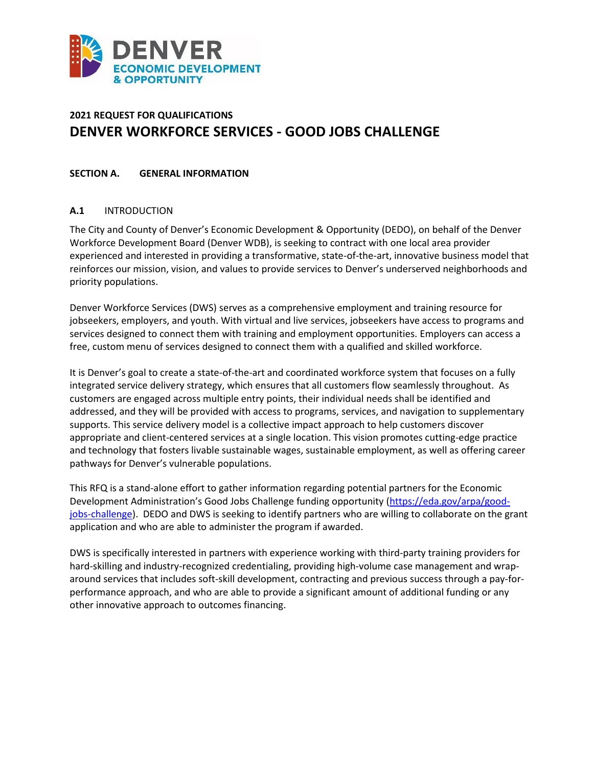

# **2021 REQUEST FOR QUALIFICATIONS DENVER WORKFORCE SERVICES - GOOD JOBS CHALLENGE**

#### **SECTION A. GENERAL INFORMATION**

#### **A.1** INTRODUCTION

The City and County of Denver's Economic Development & Opportunity (DEDO), on behalf of the Denver Workforce Development Board (Denver WDB), is seeking to contract with one local area provider experienced and interested in providing a transformative, state-of-the-art, innovative business model that reinforces our mission, vision, and values to provide services to Denver's underserved neighborhoods and priority populations.

Denver Workforce Services (DWS) serves as a comprehensive employment and training resource for jobseekers, employers, and youth. With virtual and live services, jobseekers have access to programs and services designed to connect them with training and employment opportunities. Employers can access a free, custom menu of services designed to connect them with a qualified and skilled workforce.

It is Denver's goal to create a state-of-the-art and coordinated workforce system that focuses on a fully integrated service delivery strategy, which ensures that all customers flow seamlessly throughout. As customers are engaged across multiple entry points, their individual needs shall be identified and addressed, and they will be provided with access to programs, services, and navigation to supplementary supports. This service delivery model is a collective impact approach to help customers discover appropriate and client-centered services at a single location. This vision promotes cutting-edge practice and technology that fosters livable sustainable wages, sustainable employment, as well as offering career pathways for Denver's vulnerable populations.

This RFQ is a stand-alone effort to gather information regarding potential partners for the Economic Development Administration's Good Jobs Challenge funding opportunity [\(https://eda.gov/arpa/good](https://eda.gov/arpa/good-jobs-challenge)[jobs-challenge\)](https://eda.gov/arpa/good-jobs-challenge). DEDO and DWS is seeking to identify partners who are willing to collaborate on the grant application and who are able to administer the program if awarded.

DWS is specifically interested in partners with experience working with third-party training providers for hard-skilling and industry-recognized credentialing, providing high-volume case management and wraparound services that includes soft-skill development, contracting and previous success through a pay-forperformance approach, and who are able to provide a significant amount of additional funding or any other innovative approach to outcomes financing.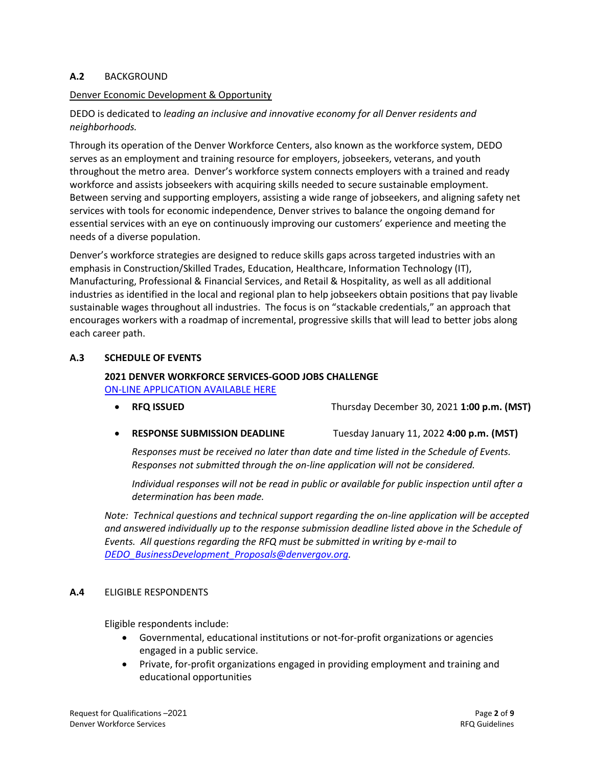### **A.2** BACKGROUND

#### Denver Economic Development & Opportunity

## DEDO is dedicated to *leading an inclusive and innovative economy for all Denver residents and neighborhoods.*

Through its operation of the Denver Workforce Centers, also known as the workforce system, DEDO serves as an employment and training resource for employers, jobseekers, veterans, and youth throughout the metro area. Denver's workforce system connects employers with a trained and ready workforce and assists jobseekers with acquiring skills needed to secure sustainable employment. Between serving and supporting employers, assisting a wide range of jobseekers, and aligning safety net services with tools for economic independence, Denver strives to balance the ongoing demand for essential services with an eye on continuously improving our customers' experience and meeting the needs of a diverse population.

Denver's workforce strategies are designed to reduce skills gaps across targeted industries with an emphasis in Construction/Skilled Trades, Education, Healthcare, Information Technology (IT), Manufacturing, Professional & Financial Services, and Retail & Hospitality, as well as all additional industries as identified in the local and regional plan to help jobseekers obtain positions that pay livable sustainable wages throughout all industries. The focus is on "stackable credentials," an approach that encourages workers with a roadmap of incremental, progressive skills that will lead to better jobs along each career path.

#### **A.3 SCHEDULE OF EVENTS**

# **2021 DENVER WORKFORCE SERVICES-GOOD JOBS CHALLENGE**

[ON-LINE APPLICATION AVAILABLE HERE](https://webportalapp.com/sp/good_jobs_challenge_rfq) 

- **RFQ ISSUED** Thursday December 30, 2021 **1:00 p.m. (MST)**
- **RESPONSE SUBMISSION DEADLINE** Tuesday January 11, 2022 **4:00 p.m. (MST)**

*Responses must be received no later than date and time listed in the Schedule of Events. Responses not submitted through the on-line application will not be considered.* 

*Individual responses will not be read in public or available for public inspection until after a determination has been made.*

*Note: Technical questions and technical support regarding the on-line application will be accepted and answered individually up to the response submission deadline listed above in the Schedule of Events. All questions regarding the RFQ must be submitted in writing by e-mail to [DEDO\\_BusinessDevelopment\\_Proposals@denvergov.org.](mailto:DEDO_BusinessDevelopment_Proposals@denvergov.org)*

#### **A.4** ELIGIBLE RESPONDENTS

Eligible respondents include:

- Governmental, educational institutions or not-for-profit organizations or agencies engaged in a public service.
- Private, for-profit organizations engaged in providing employment and training and educational opportunities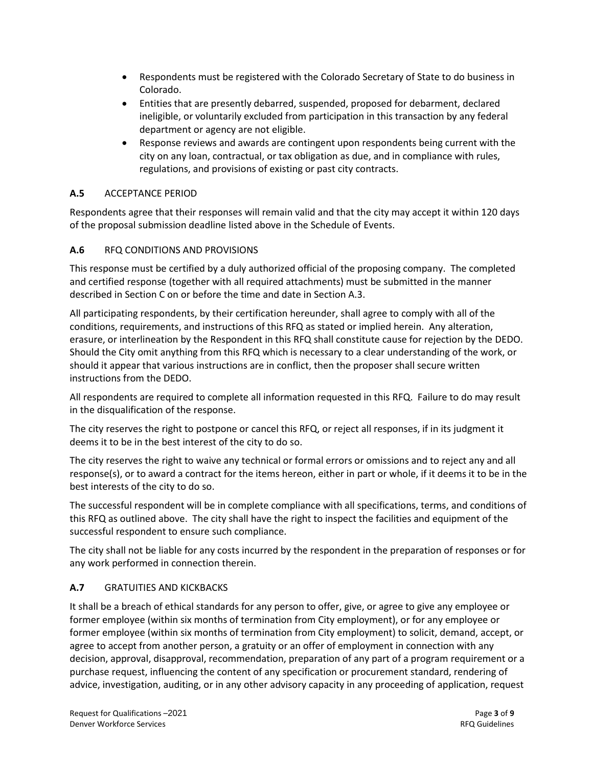- Respondents must be registered with the Colorado Secretary of State to do business in Colorado.
- Entities that are presently debarred, suspended, proposed for debarment, declared ineligible, or voluntarily excluded from participation in this transaction by any federal department or agency are not eligible.
- Response reviews and awards are contingent upon respondents being current with the city on any loan, contractual, or tax obligation as due, and in compliance with rules, regulations, and provisions of existing or past city contracts.

# **A.5** ACCEPTANCE PERIOD

Respondents agree that their responses will remain valid and that the city may accept it within 120 days of the proposal submission deadline listed above in the Schedule of Events.

# **A.6** RFQ CONDITIONS AND PROVISIONS

This response must be certified by a duly authorized official of the proposing company. The completed and certified response (together with all required attachments) must be submitted in the manner described in Section C on or before the time and date in Section A.3.

All participating respondents, by their certification hereunder, shall agree to comply with all of the conditions, requirements, and instructions of this RFQ as stated or implied herein. Any alteration, erasure, or interlineation by the Respondent in this RFQ shall constitute cause for rejection by the DEDO. Should the City omit anything from this RFQ which is necessary to a clear understanding of the work, or should it appear that various instructions are in conflict, then the proposer shall secure written instructions from the DEDO.

All respondents are required to complete all information requested in this RFQ. Failure to do may result in the disqualification of the response.

The city reserves the right to postpone or cancel this RFQ, or reject all responses, if in its judgment it deems it to be in the best interest of the city to do so.

The city reserves the right to waive any technical or formal errors or omissions and to reject any and all response(s), or to award a contract for the items hereon, either in part or whole, if it deems it to be in the best interests of the city to do so.

The successful respondent will be in complete compliance with all specifications, terms, and conditions of this RFQ as outlined above. The city shall have the right to inspect the facilities and equipment of the successful respondent to ensure such compliance.

The city shall not be liable for any costs incurred by the respondent in the preparation of responses or for any work performed in connection therein.

# **A.7** GRATUITIES AND KICKBACKS

It shall be a breach of ethical standards for any person to offer, give, or agree to give any employee or former employee (within six months of termination from City employment), or for any employee or former employee (within six months of termination from City employment) to solicit, demand, accept, or agree to accept from another person, a gratuity or an offer of employment in connection with any decision, approval, disapproval, recommendation, preparation of any part of a program requirement or a purchase request, influencing the content of any specification or procurement standard, rendering of advice, investigation, auditing, or in any other advisory capacity in any proceeding of application, request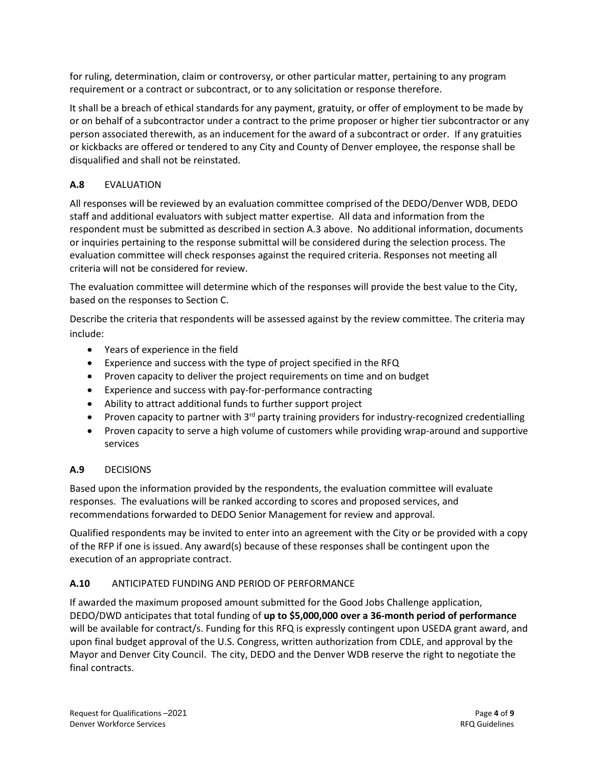for ruling, determination, claim or controversy, or other particular matter, pertaining to any program requirement or a contract or subcontract, or to any solicitation or response therefore.

It shall be a breach of ethical standards for any payment, gratuity, or offer of employment to be made by or on behalf of a subcontractor under a contract to the prime proposer or higher tier subcontractor or any person associated therewith, as an inducement for the award of a subcontract or order. If any gratuities or kickbacks are offered or tendered to any City and County of Denver employee, the response shall be disqualified and shall not be reinstated.

# **A.8** EVALUATION

All responses will be reviewed by an evaluation committee comprised of the DEDO/Denver WDB, DEDO staff and additional evaluators with subject matter expertise. All data and information from the respondent must be submitted as described in section A.3 above. No additional information, documents or inquiries pertaining to the response submittal will be considered during the selection process. The evaluation committee will check responses against the required criteria. Responses not meeting all criteria will not be considered for review.

The evaluation committee will determine which of the responses will provide the best value to the City, based on the responses to Section C.

Describe the criteria that respondents will be assessed against by the review committee. The criteria may include:

- Years of experience in the field
- Experience and success with the type of project specified in the RFQ
- Proven capacity to deliver the project requirements on time and on budget
- Experience and success with pay-for-performance contracting
- Ability to attract additional funds to further support project
- Proven capacity to partner with  $3^{rd}$  party training providers for industry-recognized credentialling
- Proven capacity to serve a high volume of customers while providing wrap-around and supportive services

## **A.9** DECISIONS

Based upon the information provided by the respondents, the evaluation committee will evaluate responses. The evaluations will be ranked according to scores and proposed services, and recommendations forwarded to DEDO Senior Management for review and approval.

Qualified respondents may be invited to enter into an agreement with the City or be provided with a copy of the RFP if one is issued. Any award(s) because of these responses shall be contingent upon the execution of an appropriate contract.

## **A.10** ANTICIPATED FUNDING AND PERIOD OF PERFORMANCE

If awarded the maximum proposed amount submitted for the Good Jobs Challenge application, DEDO/DWD anticipates that total funding of **up to \$5,000,000 over a 36-month period of performance** will be available for contract/s. Funding for this RFQ is expressly contingent upon USEDA grant award, and upon final budget approval of the U.S. Congress, written authorization from CDLE, and approval by the Mayor and Denver City Council. The city, DEDO and the Denver WDB reserve the right to negotiate the final contracts.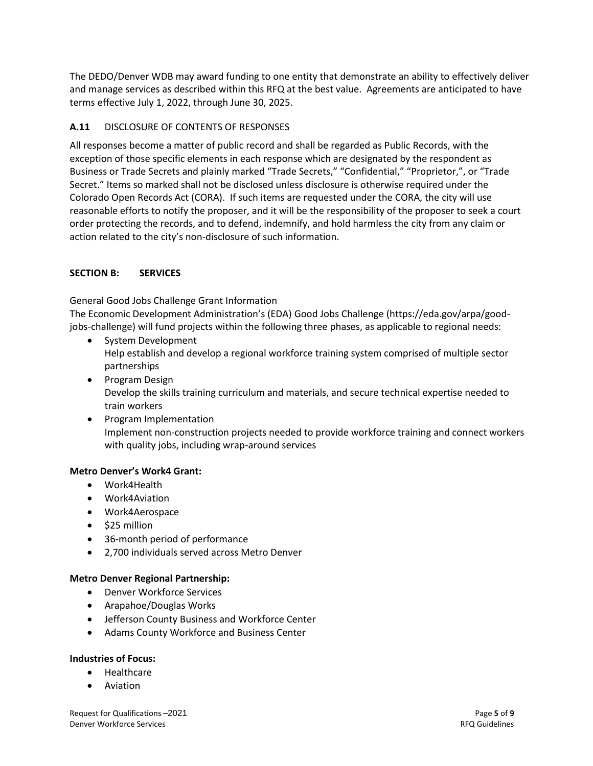The DEDO/Denver WDB may award funding to one entity that demonstrate an ability to effectively deliver and manage services as described within this RFQ at the best value. Agreements are anticipated to have terms effective July 1, 2022, through June 30, 2025.

# **A.11** DISCLOSURE OF CONTENTS OF RESPONSES

All responses become a matter of public record and shall be regarded as Public Records, with the exception of those specific elements in each response which are designated by the respondent as Business or Trade Secrets and plainly marked "Trade Secrets," "Confidential," "Proprietor,", or "Trade Secret." Items so marked shall not be disclosed unless disclosure is otherwise required under the Colorado Open Records Act (CORA). If such items are requested under the CORA, the city will use reasonable efforts to notify the proposer, and it will be the responsibility of the proposer to seek a court order protecting the records, and to defend, indemnify, and hold harmless the city from any claim or action related to the city's non-disclosure of such information.

### **SECTION B: SERVICES**

General Good Jobs Challenge Grant Information

The Economic Development Administration's (EDA) Good Jobs Challenge (https://eda.gov/arpa/goodjobs-challenge) will fund projects within the following three phases, as applicable to regional needs:

- System Development Help establish and develop a regional workforce training system comprised of multiple sector partnerships
- Program Design Develop the skills training curriculum and materials, and secure technical expertise needed to train workers
- Program Implementation Implement non-construction projects needed to provide workforce training and connect workers with quality jobs, including wrap-around services

#### **Metro Denver's Work4 Grant:**

- Work4Health
- Work4Aviation
- Work4Aerospace
- \$25 million
- 36-month period of performance
- 2,700 individuals served across Metro Denver

#### **Metro Denver Regional Partnership:**

- Denver Workforce Services
- Arapahoe/Douglas Works
- Jefferson County Business and Workforce Center
- Adams County Workforce and Business Center

#### **Industries of Focus:**

- Healthcare
- **Aviation**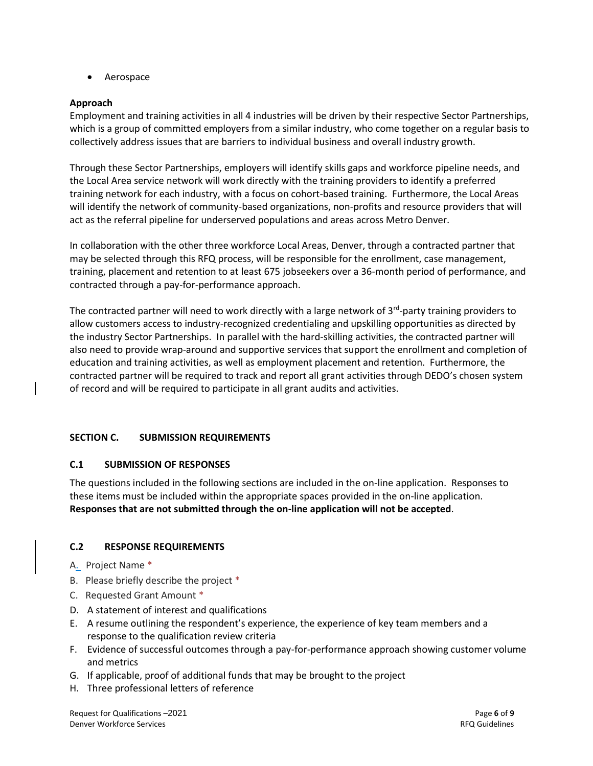• Aerospace

### **Approach**

Employment and training activities in all 4 industries will be driven by their respective Sector Partnerships, which is a group of committed employers from a similar industry, who come together on a regular basis to collectively address issues that are barriers to individual business and overall industry growth.

Through these Sector Partnerships, employers will identify skills gaps and workforce pipeline needs, and the Local Area service network will work directly with the training providers to identify a preferred training network for each industry, with a focus on cohort-based training. Furthermore, the Local Areas will identify the network of community-based organizations, non-profits and resource providers that will act as the referral pipeline for underserved populations and areas across Metro Denver.

In collaboration with the other three workforce Local Areas, Denver, through a contracted partner that may be selected through this RFQ process, will be responsible for the enrollment, case management, training, placement and retention to at least 675 jobseekers over a 36-month period of performance, and contracted through a pay-for-performance approach.

The contracted partner will need to work directly with a large network of 3<sup>rd</sup>-party training providers to allow customers access to industry-recognized credentialing and upskilling opportunities as directed by the industry Sector Partnerships. In parallel with the hard-skilling activities, the contracted partner will also need to provide wrap-around and supportive services that support the enrollment and completion of education and training activities, as well as employment placement and retention. Furthermore, the contracted partner will be required to track and report all grant activities through DEDO's chosen system of record and will be required to participate in all grant audits and activities.

#### **SECTION C. SUBMISSION REQUIREMENTS**

#### **C.1 SUBMISSION OF RESPONSES**

The questions included in the following sections are included in the on-line application. Responses to these items must be included within the appropriate spaces provided in the on-line application. **Responses that are not submitted through the on-line application will not be accepted**.

## **C.2 RESPONSE REQUIREMENTS**

- A. Project Name \*
- B. Please briefly describe the project \*
- C. Requested Grant Amount \*
- D. A statement of interest and qualifications
- E. A resume outlining the respondent's experience, the experience of key team members and a response to the qualification review criteria
- F. Evidence of successful outcomes through a pay-for-performance approach showing customer volume and metrics
- G. If applicable, proof of additional funds that may be brought to the project
- H. Three professional letters of reference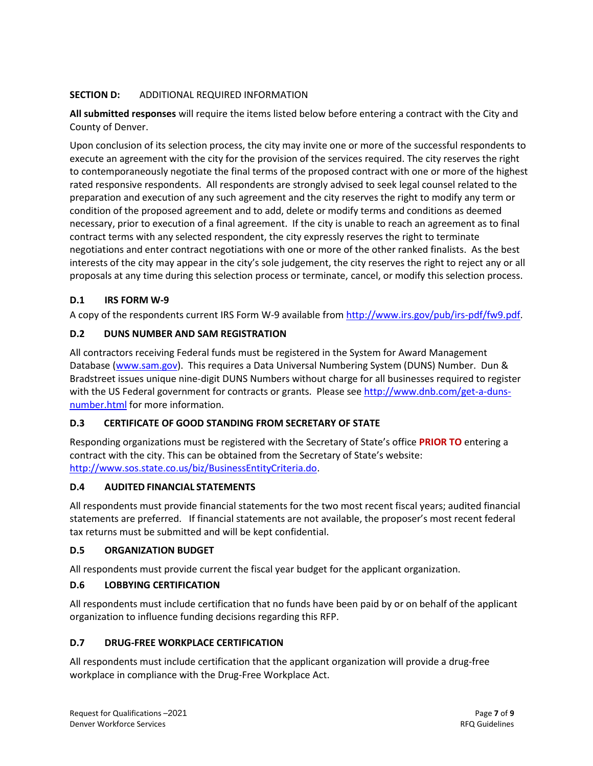# **SECTION D:** ADDITIONAL REQUIRED INFORMATION

**All submitted responses** will require the items listed below before entering a contract with the City and County of Denver.

Upon conclusion of its selection process, the city may invite one or more of the successful respondents to execute an agreement with the city for the provision of the services required. The city reserves the right to contemporaneously negotiate the final terms of the proposed contract with one or more of the highest rated responsive respondents. All respondents are strongly advised to seek legal counsel related to the preparation and execution of any such agreement and the city reserves the right to modify any term or condition of the proposed agreement and to add, delete or modify terms and conditions as deemed necessary, prior to execution of a final agreement. If the city is unable to reach an agreement as to final contract terms with any selected respondent, the city expressly reserves the right to terminate negotiations and enter contract negotiations with one or more of the other ranked finalists.As the best interests of the city may appear in the city's sole judgement, the city reserves the right to reject any or all proposals at any time during this selection process or terminate, cancel, or modify this selection process.

# **D.1 IRS FORM W-9**

A copy of the respondents current IRS Form W-9 available fro[m http://www.irs.gov/pub/irs-pdf/fw9.pdf.](http://www.irs.gov/pub/irs-pdf/fw9.pdf)

# **D.2 DUNS NUMBER AND SAM REGISTRATION**

All contractors receiving Federal funds must be registered in the System for Award Management Database [\(www.sam.gov\)](http://www.sam.gov/). This requires a Data Universal Numbering System (DUNS) Number. Dun & Bradstreet issues unique nine-digit DUNS Numbers without charge for all businesses required to register with the US Federal government for contracts or grants. Please see [http://www.dnb.com/get-a-duns](http://www.dnb.com/get-a-duns-number.html)[number.html](http://www.dnb.com/get-a-duns-number.html) for more information.

# **D.3 CERTIFICATE OF GOOD STANDING FROM SECRETARY OF STATE**

Responding organizations must be registered with the Secretary of State's office **PRIOR TO** entering a contract with the city. This can be obtained from the Secretary of State's website: [http://www.sos.state.co.us/biz/BusinessEntityCriteria.do.](http://www.sos.state.co.us/biz/BusinessEntityCriteria.do)

## **D.4 AUDITED FINANCIAL STATEMENTS**

All respondents must provide financial statements for the two most recent fiscal years; audited financial statements are preferred. If financial statements are not available, the proposer's most recent federal tax returns must be submitted and will be kept confidential.

## **D.5 ORGANIZATION BUDGET**

All respondents must provide current the fiscal year budget for the applicant organization.

# **D.6 LOBBYING CERTIFICATION**

All respondents must include certification that no funds have been paid by or on behalf of the applicant organization to influence funding decisions regarding this RFP.

# **D.7 DRUG-FREE WORKPLACE CERTIFICATION**

All respondents must include certification that the applicant organization will provide a drug-free workplace in compliance with the Drug-Free Workplace Act.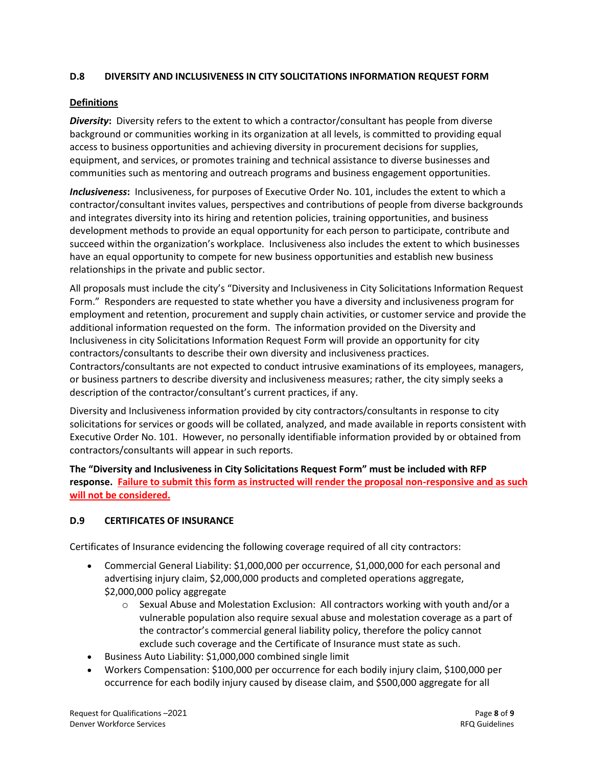## **D.8 DIVERSITY AND INCLUSIVENESS IN CITY SOLICITATIONS INFORMATION REQUEST FORM**

### **Definitions**

*Diversity***:** Diversity refers to the extent to which a contractor/consultant has people from diverse background or communities working in its organization at all levels, is committed to providing equal access to business opportunities and achieving diversity in procurement decisions for supplies, equipment, and services, or promotes training and technical assistance to diverse businesses and communities such as mentoring and outreach programs and business engagement opportunities.

*Inclusiveness***:** Inclusiveness, for purposes of Executive Order No. 101, includes the extent to which a contractor/consultant invites values, perspectives and contributions of people from diverse backgrounds and integrates diversity into its hiring and retention policies, training opportunities, and business development methods to provide an equal opportunity for each person to participate, contribute and succeed within the organization's workplace. Inclusiveness also includes the extent to which businesses have an equal opportunity to compete for new business opportunities and establish new business relationships in the private and public sector.

All proposals must include the city's "Diversity and Inclusiveness in City Solicitations Information Request Form." Responders are requested to state whether you have a diversity and inclusiveness program for employment and retention, procurement and supply chain activities, or customer service and provide the additional information requested on the form. The information provided on the Diversity and Inclusiveness in city Solicitations Information Request Form will provide an opportunity for city contractors/consultants to describe their own diversity and inclusiveness practices. Contractors/consultants are not expected to conduct intrusive examinations of its employees, managers, or business partners to describe diversity and inclusiveness measures; rather, the city simply seeks a description of the contractor/consultant's current practices, if any.

Diversity and Inclusiveness information provided by city contractors/consultants in response to city solicitations for services or goods will be collated, analyzed, and made available in reports consistent with Executive Order No. 101. However, no personally identifiable information provided by or obtained from contractors/consultants will appear in such reports.

**The "Diversity and Inclusiveness in City Solicitations Request Form" must be included with RFP response. Failure to submit this form as instructed will render the proposal non-responsive and as such will not be considered.**

## **D.9 CERTIFICATES OF INSURANCE**

Certificates of Insurance evidencing the following coverage required of all city contractors:

- Commercial General Liability: \$1,000,000 per occurrence, \$1,000,000 for each personal and advertising injury claim, \$2,000,000 products and completed operations aggregate, \$2,000,000 policy aggregate
	- $\circ$  Sexual Abuse and Molestation Exclusion: All contractors working with youth and/or a vulnerable population also require sexual abuse and molestation coverage as a part of the contractor's commercial general liability policy, therefore the policy cannot exclude such coverage and the Certificate of Insurance must state as such.
- Business Auto Liability: \$1,000,000 combined single limit
- Workers Compensation: \$100,000 per occurrence for each bodily injury claim, \$100,000 per occurrence for each bodily injury caused by disease claim, and \$500,000 aggregate for all